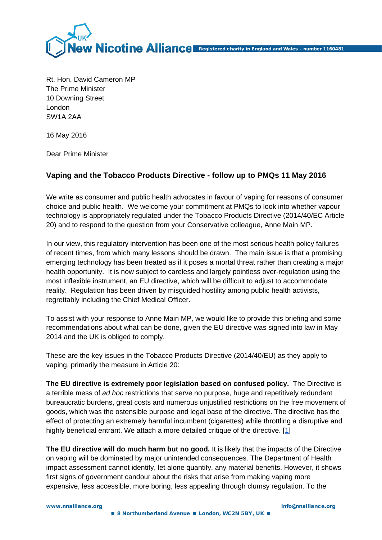

Rt. Hon. David Cameron MP The Prime Minister 10 Downing Street London SW1A 2AA

16 May 2016

Dear Prime Minister

## **Vaping and the Tobacco Products Directive - follow up to PMQs 11 May 2016**

We write as consumer and public health advocates in favour of vaping for reasons of consumer choice and public health. We welcome your commitment at PMQs to look into whether vapour technology is appropriately regulated under the Tobacco Products Directive (2014/40/EC Article 20) and to respond to the question from your Conservative colleague, Anne Main MP.

In our view, this regulatory intervention has been one of the most serious health policy failures of recent times, from which many lessons should be drawn. The main issue is that a promising emerging technology has been treated as if it poses a mortal threat rather than creating a major health opportunity. It is now subject to careless and largely pointless over-regulation using the most inflexible instrument, an EU directive, which will be difficult to adjust to accommodate reality. Regulation has been driven by misguided hostility among public health activists, regrettably including the Chief Medical Officer.

To assist with your response to Anne Main MP, we would like to provide this briefing and some recommendations about what can be done, given the EU directive was signed into law in May 2014 and the UK is obliged to comply.

These are the key issues in the Tobacco Products Directive (2014/40/EU) as they apply to vaping, primarily the measure in Article 20:

**The EU directive is extremely poor legislation based on confused policy.** The Directive is a terrible mess of *ad hoc* restrictions that serve no purpose, huge and repetitively redundant bureaucratic burdens, great costs and numerous unjustified restrictions on the free movement of goods, which was the ostensible purpose and legal base of the directive. The directive has the effect of protecting an extremely harmful incumbent (cigarettes) while throttling a disruptive and highly beneficial entrant. We attach a more detailed critique of the directive. [\[1\]](#page-3-0)

**The EU directive will do much harm but no good.** It is likely that the impacts of the Directive on vaping will be dominated by major unintended consequences. The Department of Health impact assessment cannot identify, let alone quantify, any material benefits. However, it shows first signs of government candour about the risks that arise from making vaping more expensive, less accessible, more boring, less appealing through clumsy regulation. To the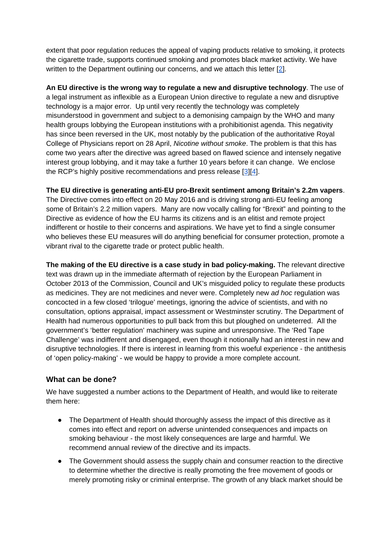extent that poor regulation reduces the appeal of vaping products relative to smoking, it protects the cigarette trade, supports continued smoking and promotes black market activity. We have written to the Department outlining our concerns, and we attach this letter [\[2\]](#page-3-0).

**An EU directive is the wrong way to regulate a new and disruptive technology**. The use of a legal instrument as inflexible as a European Union directive to regulate a new and disruptive technology is a major error. Up until very recently the technology was completely misunderstood in government and subject to a demonising campaign by the WHO and many health groups lobbying the European institutions with a prohibitionist agenda. This negativity has since been reversed in the UK, most notably by the publication of the authoritative Royal College of Physicians report on 28 April, *Nicotine without smoke*. The problem is that this has come two years after the directive was agreed based on flawed science and intensely negative interest group lobbying, and it may take a further 10 years before it can change. We enclose the RCP's highly positive recommendations and press release  $[3][4]$ .

**The EU directive is generating anti-EU pro-Brexit sentiment among Britain's 2.2m vapers**. The Directive comes into effect on 20 May 2016 and is driving strong anti-EU feeling among some of Britain's 2.2 million vapers. Many are now vocally calling for "Brexit" and pointing to the Directive as evidence of how the EU harms its citizens and is an elitist and remote project indifferent or hostile to their concerns and aspirations. We have yet to find a single consumer who believes these EU measures will do anything beneficial for consumer protection, promote a vibrant rival to the cigarette trade or protect public health.

**The making of the EU directive is a case study in bad policy-making.** The relevant directive text was drawn up in the immediate aftermath of rejection by the European Parliament in October 2013 of the Commission, Council and UK's misguided policy to regulate these products as medicines. They are not medicines and never were. Completely new *ad hoc* regulation was concocted in a few closed 'trilogue' meetings, ignoring the advice of scientists, and with no consultation, options appraisal, impact assessment or Westminster scrutiny. The Department of Health had numerous opportunities to pull back from this but ploughed on undeterred. All the government's 'better regulation' machinery was supine and unresponsive. The 'Red Tape Challenge' was indifferent and disengaged, even though it notionally had an interest in new and disruptive technologies. If there is interest in learning from this woeful experience - the antithesis of 'open policy-making' - we would be happy to provide a more complete account.

## **What can be done?**

We have suggested a number actions to the Department of Health, and would like to reiterate them here:

- The Department of Health should thoroughly assess the impact of this directive as it comes into effect and report on adverse unintended consequences and impacts on smoking behaviour - the most likely consequences are large and harmful. We recommend annual review of the directive and its impacts.
- The Government should assess the supply chain and consumer reaction to the directive to determine whether the directive is really promoting the free movement of goods or merely promoting risky or criminal enterprise. The growth of any black market should be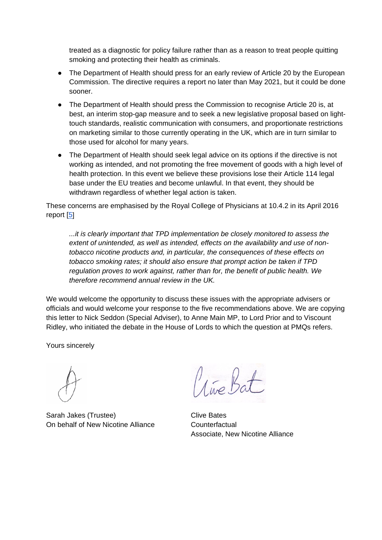treated as a diagnostic for policy failure rather than as a reason to treat people quitting smoking and protecting their health as criminals.

- The Department of Health should press for an early review of Article 20 by the European Commission. The directive requires a report no later than May 2021, but it could be done sooner.
- The Department of Health should press the Commission to recognise Article 20 is, at best, an interim stop-gap measure and to seek a new legislative proposal based on lighttouch standards, realistic communication with consumers, and proportionate restrictions on marketing similar to those currently operating in the UK, which are in turn similar to those used for alcohol for many years.
- The Department of Health should seek legal advice on its options if the directive is not working as intended, and not promoting the free movement of goods with a high level of health protection. In this event we believe these provisions lose their Article 114 legal base under the EU treaties and become unlawful. In that event, they should be withdrawn regardless of whether legal action is taken.

These concerns are emphasised by the Royal College of Physicians at 10.4.2 in its April 2016 report [\[5\]](#page-3-0)

*...it is clearly important that TPD implementation be closely monitored to assess the extent of unintended, as well as intended, effects on the availability and use of nontobacco nicotine products and, in particular, the consequences of these effects on tobacco smoking rates; it should also ensure that prompt action be taken if TPD regulation proves to work against, rather than for, the benefit of public health. We therefore recommend annual review in the UK.*

We would welcome the opportunity to discuss these issues with the appropriate advisers or officials and would welcome your response to the five recommendations above. We are copying this letter to Nick Seddon (Special Adviser), to Anne Main MP, to Lord Prior and to Viscount Ridley, who initiated the debate in the House of Lords to which the question at PMQs refers.

Yours sincerely

Sarah Jakes (Trustee) On behalf of New Nicotine Alliance

Live Bat

Clive Bates **Counterfactual** Associate, New Nicotine Alliance